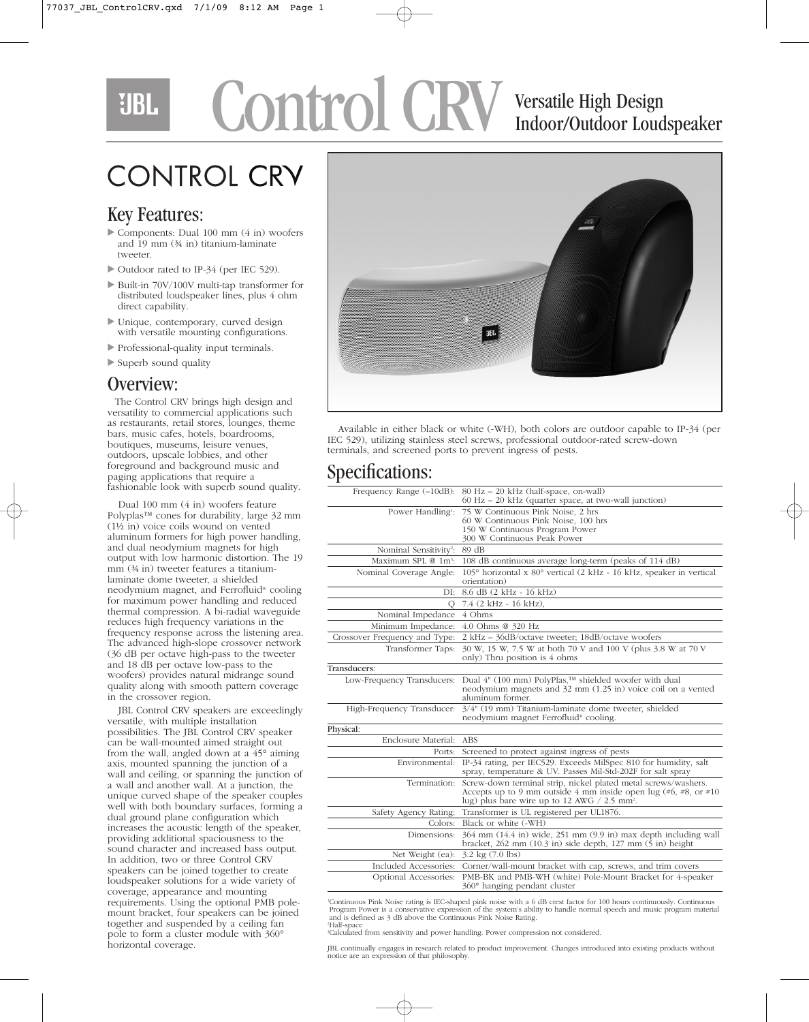## Control CRV Versatile High Design UBL.

# Indoor/Outdoor Loudspeaker

## **CONTROL CRY**

#### Key Features:

- Components: Dual 100 mm (4 in) woofers and 19 mm (¾ in) titanium-laminate tweeter.
- Outdoor rated to IP-34 (per IEC 529).
- Built-in 70V/100V multi-tap transformer for distributed loudspeaker lines, plus 4 ohm direct capability.
- Unique, contemporary, curved design with versatile mounting configurations.
- Professional-quality input terminals.
- Superb sound quality

#### Overview:

The Control CRV brings high design and versatility to commercial applications such as restaurants, retail stores, lounges, theme bars, music cafes, hotels, boardrooms, boutiques, museums, leisure venues, outdoors, upscale lobbies, and other foreground and background music and paging applications that require a fashionable look with superb sound quality.

Dual 100 mm (4 in) woofers feature Polyplas™ cones for durability, large 32 mm (1½ in) voice coils wound on vented aluminum formers for high power handling, and dual neodymium magnets for high output with low harmonic distortion. The 19 mm (¾ in) tweeter features a titaniumlaminate dome tweeter, a shielded neodymium magnet, and Ferrofluid® cooling for maximum power handling and reduced thermal compression. A bi-radial waveguide reduces high frequency variations in the frequency response across the listening area. The advanced high-slope crossover network (36 dB per octave high-pass to the tweeter and 18 dB per octave low-pass to the woofers) provides natural midrange sound quality along with smooth pattern coverage in the crossover region.

JBL Control CRV speakers are exceedingly versatile, with multiple installation possibilities. The JBL Control CRV speaker can be wall-mounted aimed straight out from the wall, angled down at a 45° aiming axis, mounted spanning the junction of a wall and ceiling, or spanning the junction of a wall and another wall. At a junction, the unique curved shape of the speaker couples well with both boundary surfaces, forming a dual ground plane configuration which increases the acoustic length of the speaker, providing additional spaciousness to the sound character and increased bass output. In addition, two or three Control CRV speakers can be joined together to create loudspeaker solutions for a wide variety of coverage, appearance and mounting requirements. Using the optional PMB polemount bracket, four speakers can be joined together and suspended by a ceiling fan pole to form a cluster module with 360° horizontal coverage.



Available in either black or white (-WH), both colors are outdoor capable to IP-34 (per IEC 529), utilizing stainless steel screws, professional outdoor-rated screw-down terminals, and screened ports to prevent ingress of pests.

#### Specifications:

| ┻                                  |                                                                                                                                                                                                  |
|------------------------------------|--------------------------------------------------------------------------------------------------------------------------------------------------------------------------------------------------|
| Frequency Range (-10dB):           | 80 Hz - 20 kHz (half-space, on-wall)<br>$60$ Hz $-$ 20 kHz (quarter space, at two-wall junction)                                                                                                 |
| Power Handling <sup>1</sup> :      | 75 W Continuous Pink Noise, 2 hrs<br>60 W Continuous Pink Noise, 100 hrs<br>150 W Continuous Program Power<br>300 W Continuous Peak Power                                                        |
| Nominal Sensitivity <sup>2</sup> : | 89 dB                                                                                                                                                                                            |
| Maximum SPL @ 1m <sup>3</sup> :    | 108 dB continuous average long-term (peaks of 114 dB)                                                                                                                                            |
| Nominal Coverage Angle:            | 105° horizontal x 80° vertical (2 kHz - 16 kHz, speaker in vertical<br>orientation)                                                                                                              |
| DI:                                | 8.6 dB (2 kHz - 16 kHz)                                                                                                                                                                          |
| О                                  | 7.4 (2 kHz - 16 kHz),                                                                                                                                                                            |
| Nominal Impedance                  | 4 Ohms                                                                                                                                                                                           |
| Minimum Impedance:                 | 4.0 Ohms @ 320 Hz                                                                                                                                                                                |
| Crossover Frequency and Type:      | 2 kHz - 36dB/octave tweeter; 18dB/octave woofers                                                                                                                                                 |
| Transformer Taps:                  | 30 W, 15 W, 7.5 W at both 70 V and 100 V (plus 3.8 W at 70 V<br>only) Thru position is 4 ohms                                                                                                    |
| Transducers:                       |                                                                                                                                                                                                  |
| Low-Frequency Transducers:         | Dual 4" (100 mm) PolyPlas,™ shielded woofer with dual<br>neodymium magnets and 32 mm (1.25 in) voice coil on a vented<br>aluminum former.                                                        |
| High-Frequency Transducer:         | 3/4" (19 mm) Titanium-laminate dome tweeter, shielded<br>neodymium magnet Ferrofluid <sup>®</sup> cooling.                                                                                       |
| Physical:                          |                                                                                                                                                                                                  |
| Enclosure Material: ABS            |                                                                                                                                                                                                  |
| Ports:                             | Screened to protect against ingress of pests                                                                                                                                                     |
|                                    | Environmental: IP-34 rating, per IEC529. Exceeds MilSpec 810 for humidity, salt<br>spray, temperature & UV. Passes Mil-Std-202F for salt spray                                                   |
| Termination:                       | Screw-down terminal strip, nickel plated metal screws/washers.<br>Accepts up to 9 mm outside 4 mm inside open lug (#6, #8, or #10)<br>lug) plus bare wire up to 12 AWG $/$ 2.5 mm <sup>2</sup> . |
| Safety Agency Rating:              | Transformer is UL registered per UL1876.                                                                                                                                                         |
| Colors:                            | Black or white (-WH)                                                                                                                                                                             |
| Dimensions:                        | 364 mm (14.4 in) wide, 251 mm (9.9 in) max depth including wall<br>bracket, $262$ mm $(10.3$ in) side depth, $127$ mm $(5)$ in) height                                                           |
| Net Weight (ea):                   | $3.2 \text{ kg} (7.0 \text{ lbs})$                                                                                                                                                               |
| Included Accessories:              | Corner/wall-mount bracket with cap, screws, and trim covers                                                                                                                                      |
| Optional Accessories:              | PMB-BK and PMB-WH (white) Pole-Mount Bracket for 4-speaker<br>$360^\circ$ hanging pendant cluster                                                                                                |
|                                    |                                                                                                                                                                                                  |

'Continuous Pink Noise rating is IEC-shaped pink noise with a 6 dB crest factor for 100 hours continuously. Continuous<br>Program Power is a conservative expression of the system's ability to handle normal speech and music pr

2 Half-space 3 Calculated from sensitivity and power handling. Power compression not considered.

JBL continually engages in research related to product improvement. Changes introduced into existing products without notice are an expression of that philosophy.